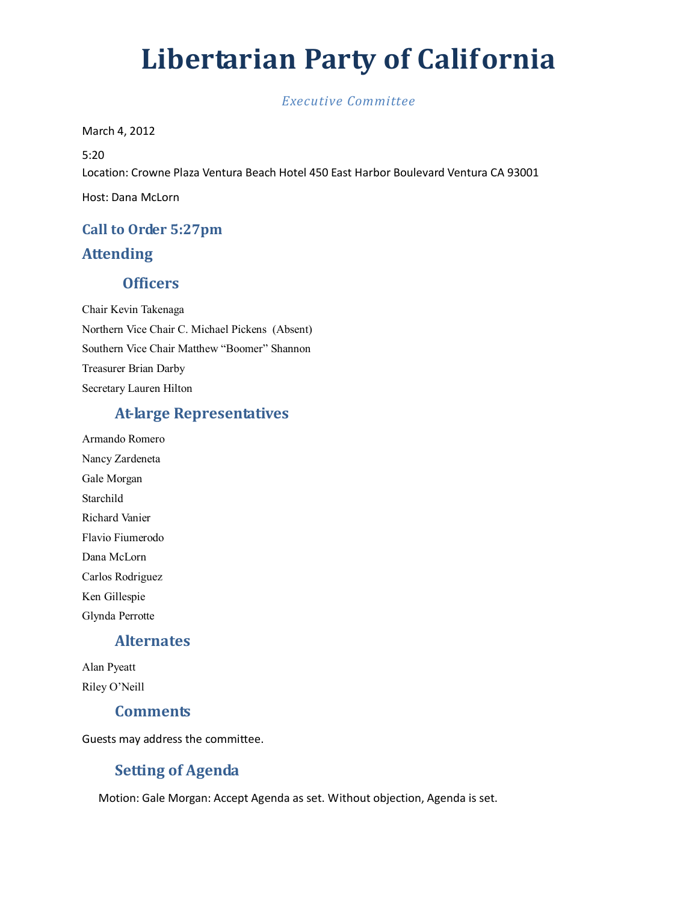# Libertarian Party of California

*Executive Committee* 

March 4, 2012

5:20 Location: Crowne Plaza Ventura Beach Hotel 450 East Harbor Boulevard Ventura CA 93001 Host: Dana McLorn

## Call to Order 5:27pm Attending

## **Officers**

Chair Kevin Takenaga Northern Vice Chair C. Michael Pickens (Absent) Southern Vice Chair Matthew "Boomer" Shannon Treasurer Brian Darby Secretary Lauren Hilton

## At-large Representatives

Armando Romero Nancy Zardeneta Gale Morgan Starchild Richard Vanier Flavio Fiumerodo Dana McLorn Carlos Rodriguez Ken Gillespie Glynda Perrotte

## Alternates

Alan Pyeatt Riley O'Neill

## **Comments**

Guests may address the committee.

## Setting of Agenda

Motion: Gale Morgan: Accept Agenda as set. Without objection, Agenda is set.